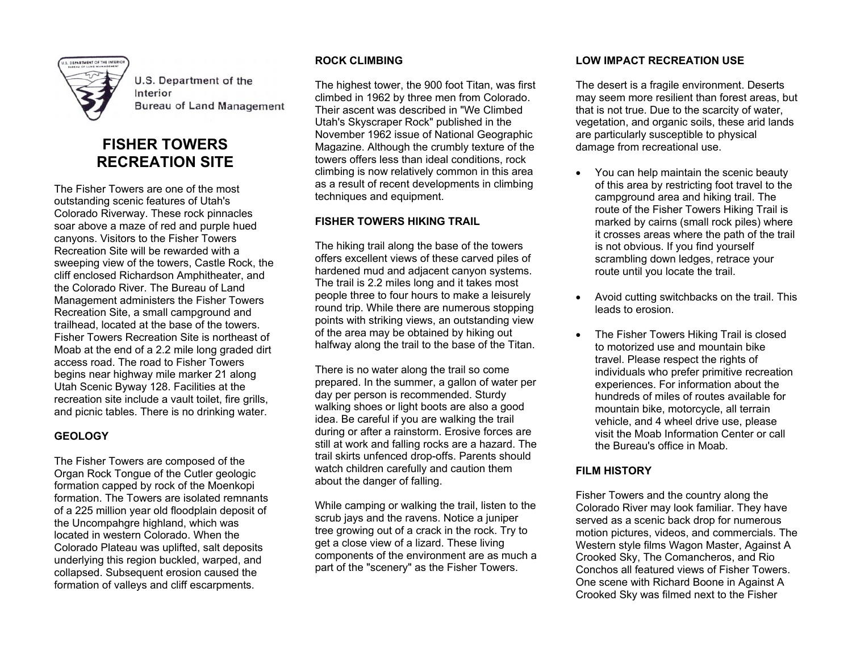

**U.S. Department of the** Interior **Bureau of Land Management** 

# **FISHER TOWERS RECREATION SITE**

The Fisher Towers are one of the most outstanding scenic features of Utah's Colorado Riverway. These rock pinnacles soar above a maze of red and purple hued canyons. Visitors to the Fisher Towers Recreation Site will be rewarded with a sweeping view of the towers, Castle Rock, the cliff enclosed Richardson Amphitheater, and the Colorado River. The Bureau of Land Management administers the Fisher Towers Recreation Site, a small campground and trailhead, located at the base of the towers. Fisher Towers Recreation Site is northeast of Moab at the end of a 2.2 mile long graded dirt access road. The road to Fisher Towers begins near highway mile marker 21 along Utah Scenic Byway 128. Facilities at the recreation site include a vault toilet, fire grills, and picnic tables. There is no drinking water.

## **GEOLOGY**

The Fisher Towers are composed of the Organ Rock Tongue of the Cutler geologic formation capped by rock of the Moenkopi formation. The Towers are isolated remnants of a 225 million year old floodplain deposit of the Uncompahgre highland, which was located in western Colorado. When the Colorado Plateau was uplifted, salt deposits underlying this region buckled, warped, and collapsed. Subsequent erosion caused the formation of valleys and cliff escarpments.

#### **ROCK CLIMBING**

The highest tower, the 900 foot Titan, was first climbed in 1962 by three men from Colorado. Their ascent was described in "We Climbed Utah's Skyscraper Rock" published in the November 1962 issue of National Geographic Magazine. Although the crumbly texture of the towers offers less than ideal conditions, rock climbing is now relatively common in this area as a result of recent developments in climbing techniques and equipment.

## **FISHER TOWERS HIKING TRAIL**

The hiking trail along the base of the towers offers excellent views of these carved piles of hardened mud and adjacent canyon systems. The trail is 2.2 miles long and it takes most people three to four hours to make a leisurely round trip. While there are numerous stopping points with striking views, an outstanding view of the area may be obtained by hiking out halfway along the trail to the base of the Titan.

There is no water along the trail so come prepared. In the summer, a gallon of water per day per person is recommended. Sturdy walking shoes or light boots are also a good idea. Be careful if you are walking the trail during or after a rainstorm. Erosive forces are still at work and falling rocks are a hazard. The trail skirts unfenced drop-offs. Parents should watch children carefully and caution them about the danger of falling.

While camping or walking the trail, listen to the scrub jays and the ravens. Notice a juniper tree growing out of a crack in the rock. Try to get a close view of a lizard. These living components of the environment are as much a part of the "scenery" as the Fisher Towers.

## **LOW IMPACT RECREATION USE**

The desert is a fragile environment. Deserts may seem more resilient than forest areas, but that is not true. Due to the scarcity of water, vegetation, and organic soils, these arid lands are particularly susceptible to physical damage from recreational use.

- You can help maintain the scenic beauty of this area by restricting foot travel to the campground area and hiking trail. The route of the Fisher Towers Hiking Trail is marked by cairns (small rock piles) where it crosses areas where the path of the trail is not obvious. If you find yourself scrambling down ledges, retrace your route until you locate the trail.
- Avoid cutting switchbacks on the trail. This leads to erosion.
- The Fisher Towers Hiking Trail is closed to motorized use and mountain bike travel. Please respect the rights of individuals who prefer primitive recreation experiences. For information about the hundreds of miles of routes available for mountain bike, motorcycle, all terrain vehicle, and 4 wheel drive use, please visit the Moab Information Center or call the Bureau's office in Moab.

## **FILM HISTORY**

Fisher Towers and the country along the Colorado River may look familiar. They have served as a scenic back drop for numerous motion pictures, videos, and commercials. The Western style films Wagon Master, Against A Crooked Sky, The Comancheros, and Rio Conchos all featured views of Fisher Towers. One scene with Richard Boone in Against A Crooked Sky was filmed next to the Fisher